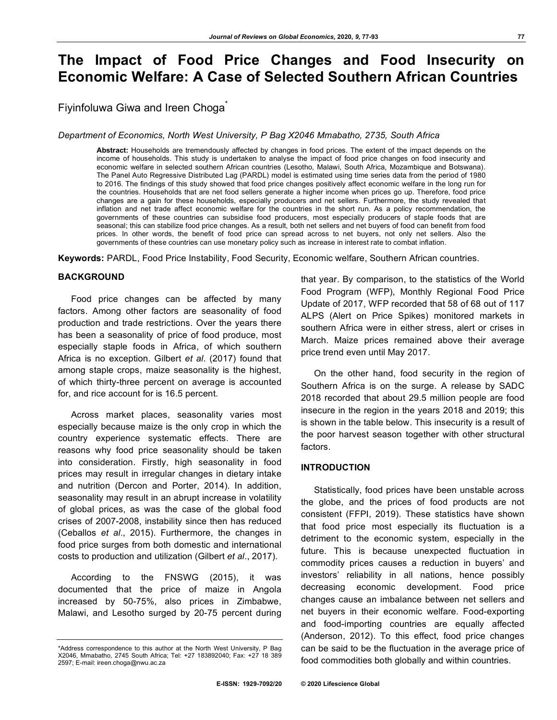# **The Impact of Food Price Changes and Food Insecurity on Economic Welfare: A Case of Selected Southern African Countries**

Fiyinfoluwa Giwa and Ireen Choga<sup>®</sup>

*Department of Economics, North West University, P Bag X2046 Mmabatho, 2735, South Africa*

**Abstract:** Households are tremendously affected by changes in food prices. The extent of the impact depends on the income of households. This study is undertaken to analyse the impact of food price changes on food insecurity and economic welfare in selected southern African countries (Lesotho, Malawi, South Africa, Mozambique and Botswana). The Panel Auto Regressive Distributed Lag (PARDL) model is estimated using time series data from the period of 1980 to 2016. The findings of this study showed that food price changes positively affect economic welfare in the long run for the countries. Households that are net food sellers generate a higher income when prices go up. Therefore, food price changes are a gain for these households, especially producers and net sellers. Furthermore, the study revealed that inflation and net trade affect economic welfare for the countries in the short run. As a policy recommendation, the governments of these countries can subsidise food producers, most especially producers of staple foods that are seasonal; this can stabilize food price changes. As a result, both net sellers and net buyers of food can benefit from food prices. In other words, the benefit of food price can spread across to net buyers, not only net sellers. Also the governments of these countries can use monetary policy such as increase in interest rate to combat inflation.

**Keywords:** PARDL, Food Price Instability, Food Security, Economic welfare, Southern African countries.

## **BACKGROUND**

Food price changes can be affected by many factors. Among other factors are seasonality of food production and trade restrictions. Over the years there has been a seasonality of price of food produce, most especially staple foods in Africa, of which southern Africa is no exception. Gilbert *et al*. (2017) found that among staple crops, maize seasonality is the highest, of which thirty-three percent on average is accounted for, and rice account for is 16.5 percent.

Across market places, seasonality varies most especially because maize is the only crop in which the country experience systematic effects. There are reasons why food price seasonality should be taken into consideration. Firstly, high seasonality in food prices may result in irregular changes in dietary intake and nutrition (Dercon and Porter, 2014). In addition, seasonality may result in an abrupt increase in volatility of global prices, as was the case of the global food crises of 2007-2008, instability since then has reduced (Ceballos *et al*., 2015). Furthermore, the changes in food price surges from both domestic and international costs to production and utilization (Gilbert *et al*., 2017).

According to the FNSWG (2015), it was documented that the price of maize in Angola increased by 50-75%, also prices in Zimbabwe, Malawi, and Lesotho surged by 20-75 percent during that year. By comparison, to the statistics of the World Food Program (WFP), Monthly Regional Food Price Update of 2017, WFP recorded that 58 of 68 out of 117 ALPS (Alert on Price Spikes) monitored markets in southern Africa were in either stress, alert or crises in March. Maize prices remained above their average price trend even until May 2017.

On the other hand, food security in the region of Southern Africa is on the surge. A release by SADC 2018 recorded that about 29.5 million people are food insecure in the region in the years 2018 and 2019; this is shown in the table below. This insecurity is a result of the poor harvest season together with other structural factors.

## **INTRODUCTION**

Statistically, food prices have been unstable across the globe, and the prices of food products are not consistent (FFPI, 2019). These statistics have shown that food price most especially its fluctuation is a detriment to the economic system, especially in the future. This is because unexpected fluctuation in commodity prices causes a reduction in buyers' and investors' reliability in all nations, hence possibly decreasing economic development. Food price changes cause an imbalance between net sellers and net buyers in their economic welfare. Food-exporting and food-importing countries are equally affected (Anderson, 2012). To this effect, food price changes can be said to be the fluctuation in the average price of food commodities both globally and within countries.

<sup>\*</sup>Address correspondence to this author at the North West University, P Bag X2046, Mmabatho, 2745 South Africa; Tel: +27 183892040; Fax: +27 18 389 2597; E-mail: ireen.choga@nwu.ac.za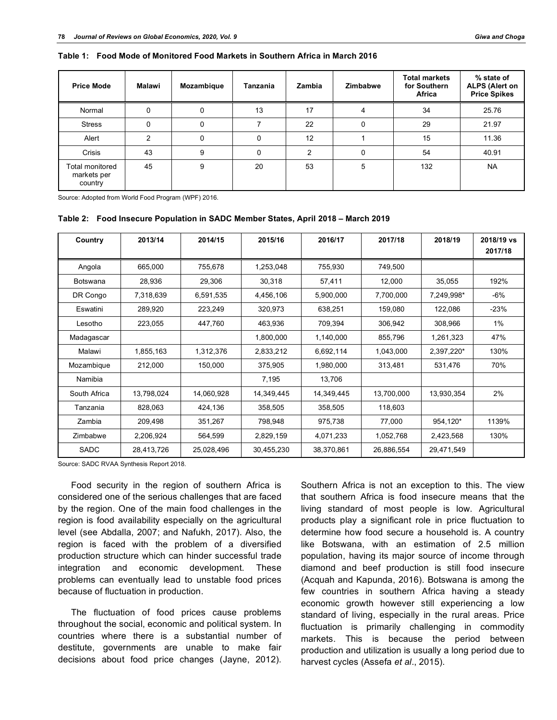| Table 1: Food Mode of Monitored Food Markets in Southern Africa in March 2016 |  |
|-------------------------------------------------------------------------------|--|
|                                                                               |  |
|                                                                               |  |

**Table 1: Food Mode of Monitored Food Markets in Southern Africa in March 2016**

| <b>Price Mode</b>                         | Malawi | Mozambique | Tanzania | Zambia | <b>Zimbabwe</b> | <b>Total markets</b><br>for Southern<br>Africa | % state of<br><b>ALPS (Alert on</b><br><b>Price Spikes</b> |
|-------------------------------------------|--------|------------|----------|--------|-----------------|------------------------------------------------|------------------------------------------------------------|
| Normal                                    | 0      | 0          | 13       | 17     | 4               | 34                                             | 25.76                                                      |
| <b>Stress</b>                             | 0      | 0          | 7        | 22     | 0               | 29                                             | 21.97                                                      |
| Alert                                     | 2      | $\Omega$   | 0        | 12     |                 | 15                                             | 11.36                                                      |
| Crisis                                    | 43     | 9          | 0        | 2      | 0               | 54                                             | 40.91                                                      |
| Total monitored<br>markets per<br>country | 45     | 9          | 20       | 53     | 5               | 132                                            | <b>NA</b>                                                  |

Source: Adopted from World Food Program (WPF) 2016.

|  | Table 2: Food Insecure Population in SADC Member States, April 2018 – March 2019 |  |  |  |  |  |  |
|--|----------------------------------------------------------------------------------|--|--|--|--|--|--|
|--|----------------------------------------------------------------------------------|--|--|--|--|--|--|

| Country      | 2013/14    | 2014/15    | 2015/16    | 2016/17    | 2017/18    | 2018/19    | 2018/19 vs<br>2017/18 |
|--------------|------------|------------|------------|------------|------------|------------|-----------------------|
| Angola       | 665,000    | 755,678    | 1,253,048  | 755,930    | 749,500    |            |                       |
| Botswana     | 28,936     | 29,306     | 30,318     | 57,411     | 12,000     | 35,055     | 192%                  |
| DR Congo     | 7,318,639  | 6,591,535  | 4,456,106  | 5,900,000  | 7,700,000  | 7,249,998* | -6%                   |
| Eswatini     | 289,920    | 223,249    | 320,973    | 638,251    | 159,080    | 122,086    | $-23%$                |
| Lesotho      | 223,055    | 447,760    | 463,936    | 709,394    | 306,942    | 308,966    | 1%                    |
| Madagascar   |            |            | 1,800,000  | 1,140,000  | 855,796    | 1,261,323  | 47%                   |
| Malawi       | 1,855,163  | 1,312,376  | 2,833,212  | 6,692,114  | 1,043,000  | 2,397,220* | 130%                  |
| Mozambique   | 212,000    | 150,000    | 375,905    | 1,980,000  | 313,481    | 531,476    | 70%                   |
| Namibia      |            |            | 7,195      | 13,706     |            |            |                       |
| South Africa | 13,798,024 | 14,060,928 | 14,349,445 | 14,349,445 | 13,700,000 | 13,930,354 | 2%                    |
| Tanzania     | 828,063    | 424,136    | 358,505    | 358,505    | 118,603    |            |                       |
| Zambia       | 209,498    | 351,267    | 798,948    | 975,738    | 77,000     | 954,120*   | 1139%                 |
| Zimbabwe     | 2,206,924  | 564,599    | 2,829,159  | 4,071,233  | 1,052,768  | 2,423,568  | 130%                  |
| SADC         | 28,413,726 | 25,028,496 | 30,455,230 | 38,370,861 | 26,886,554 | 29,471,549 |                       |

Source: SADC RVAA Synthesis Report 2018.

Food security in the region of southern Africa is considered one of the serious challenges that are faced by the region. One of the main food challenges in the region is food availability especially on the agricultural level (see Abdalla, 2007; and Nafukh, 2017). Also, the region is faced with the problem of a diversified production structure which can hinder successful trade integration and economic development. These problems can eventually lead to unstable food prices because of fluctuation in production.

The fluctuation of food prices cause problems throughout the social, economic and political system. In countries where there is a substantial number of destitute, governments are unable to make fair decisions about food price changes (Jayne, 2012).

Southern Africa is not an exception to this. The view that southern Africa is food insecure means that the living standard of most people is low. Agricultural products play a significant role in price fluctuation to determine how food secure a household is. A country like Botswana, with an estimation of 2.5 million population, having its major source of income through diamond and beef production is still food insecure (Acquah and Kapunda, 2016). Botswana is among the few countries in southern Africa having a steady economic growth however still experiencing a low standard of living, especially in the rural areas. Price fluctuation is primarily challenging in commodity markets. This is because the period between production and utilization is usually a long period due to harvest cycles (Assefa *et al*., 2015).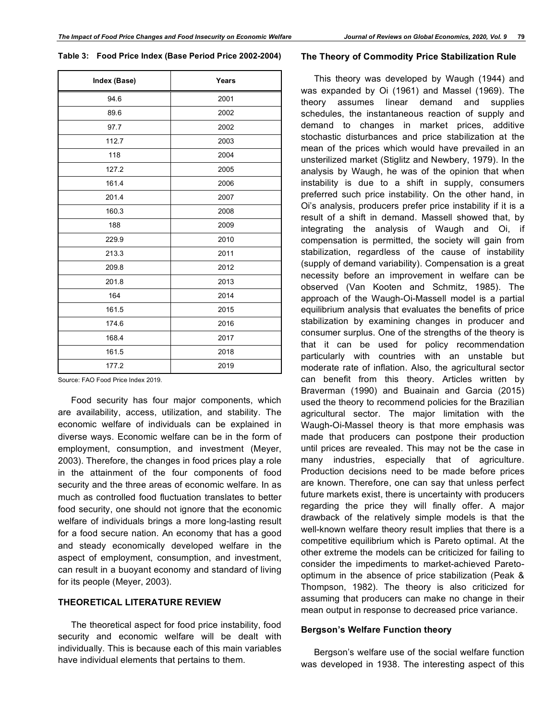**Table 3: Food Price Index (Base Period Price 2002-2004)**

| Index (Base) | Years |
|--------------|-------|
| 94.6         | 2001  |
| 89.6         | 2002  |
| 97.7         | 2002  |
| 112.7        | 2003  |
| 118          | 2004  |
| 127.2        | 2005  |
| 161.4        | 2006  |
| 201.4        | 2007  |
| 160.3        | 2008  |
| 188          | 2009  |
| 229.9        | 2010  |
| 213.3        | 2011  |
| 209.8        | 2012  |
| 201.8        | 2013  |
| 164          | 2014  |
| 161.5        | 2015  |
| 174.6        | 2016  |
| 168.4        | 2017  |
| 161.5        | 2018  |
| 177.2        | 2019  |

Source: FAO Food Price Index 2019.

Food security has four major components, which are availability, access, utilization, and stability. The economic welfare of individuals can be explained in diverse ways. Economic welfare can be in the form of employment, consumption, and investment (Meyer, 2003). Therefore, the changes in food prices play a role in the attainment of the four components of food security and the three areas of economic welfare. In as much as controlled food fluctuation translates to better food security, one should not ignore that the economic welfare of individuals brings a more long-lasting result for a food secure nation. An economy that has a good and steady economically developed welfare in the aspect of employment, consumption, and investment, can result in a buoyant economy and standard of living for its people (Meyer, 2003).

## **THEORETICAL LITERATURE REVIEW**

The theoretical aspect for food price instability, food security and economic welfare will be dealt with individually. This is because each of this main variables have individual elements that pertains to them.

#### **The Theory of Commodity Price Stabilization Rule**

This theory was developed by Waugh (1944) and was expanded by Oi (1961) and Massel (1969). The theory assumes linear demand and supplies schedules, the instantaneous reaction of supply and demand to changes in market prices, additive stochastic disturbances and price stabilization at the mean of the prices which would have prevailed in an unsterilized market (Stiglitz and Newbery, 1979). In the analysis by Waugh, he was of the opinion that when instability is due to a shift in supply, consumers preferred such price instability. On the other hand, in Oi's analysis, producers prefer price instability if it is a result of a shift in demand. Massell showed that, by integrating the analysis of Waugh and Oi, if compensation is permitted, the society will gain from stabilization, regardless of the cause of instability (supply of demand variability). Compensation is a great necessity before an improvement in welfare can be observed (Van Kooten and Schmitz, 1985). The approach of the Waugh-Oi-Massell model is a partial equilibrium analysis that evaluates the benefits of price stabilization by examining changes in producer and consumer surplus. One of the strengths of the theory is that it can be used for policy recommendation particularly with countries with an unstable but moderate rate of inflation. Also, the agricultural sector can benefit from this theory. Articles written by Braverman (1990) and Buainain and Garcia (2015) used the theory to recommend policies for the Brazilian agricultural sector. The major limitation with the Waugh-Oi-Massel theory is that more emphasis was made that producers can postpone their production until prices are revealed. This may not be the case in many industries, especially that of agriculture. Production decisions need to be made before prices are known. Therefore, one can say that unless perfect future markets exist, there is uncertainty with producers regarding the price they will finally offer. A major drawback of the relatively simple models is that the well-known welfare theory result implies that there is a competitive equilibrium which is Pareto optimal. At the other extreme the models can be criticized for failing to consider the impediments to market-achieved Paretooptimum in the absence of price stabilization (Peak & Thompson, 1982). The theory is also criticized for assuming that producers can make no change in their mean output in response to decreased price variance.

## **Bergson's Welfare Function theory**

Bergson's welfare use of the social welfare function was developed in 1938. The interesting aspect of this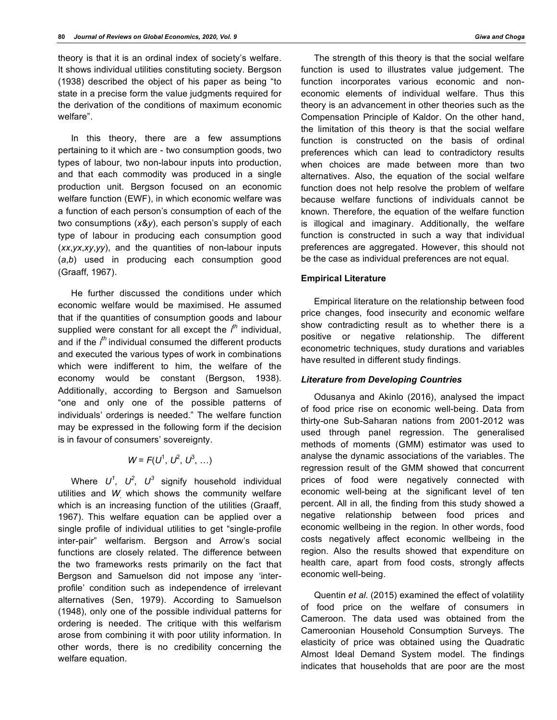theory is that it is an ordinal index of society's welfare. It shows individual utilities constituting society. Bergson (1938) described the object of his paper as being "to state in a precise form the value judgments required for the derivation of the conditions of maximum economic welfare".

In this theory, there are a few assumptions pertaining to it which are - two consumption goods, two types of labour, two non-labour inputs into production, and that each commodity was produced in a single production unit. Bergson focused on an economic welfare function (EWF), in which economic welfare was a function of each person's consumption of each of the two consumptions (*x*&*y*), each person's supply of each type of labour in producing each consumption good (*xx*,*yx*,*xy*,*yy*), and the quantities of non-labour inputs (*a*,*b*) used in producing each consumption good (Graaff, 1967).

He further discussed the conditions under which economic welfare would be maximised. He assumed that if the quantities of consumption goods and labour supplied were constant for all except the *i th* individual, and if the *i th* individual consumed the different products and executed the various types of work in combinations which were indifferent to him, the welfare of the economy would be constant (Bergson, 1938). Additionally, according to Bergson and Samuelson "one and only one of the possible patterns of individuals' orderings is needed." The welfare function may be expressed in the following form if the decision is in favour of consumers' sovereignty.

# $W = F(U^1, U^2, U^3, ...)$

Where  $U^1$ ,  $U^2$ ,  $U^3$  signify household individual utilities and *W*, which shows the community welfare which is an increasing function of the utilities (Graaff, 1967). This welfare equation can be applied over a single profile of individual utilities to get "single-profile inter-pair" welfarism. Bergson and Arrow's social functions are closely related. The difference between the two frameworks rests primarily on the fact that Bergson and Samuelson did not impose any 'interprofile' condition such as independence of irrelevant alternatives (Sen, 1979). According to Samuelson (1948), only one of the possible individual patterns for ordering is needed. The critique with this welfarism arose from combining it with poor utility information. In other words, there is no credibility concerning the welfare equation.

The strength of this theory is that the social welfare function is used to illustrates value judgement. The function incorporates various economic and noneconomic elements of individual welfare. Thus this theory is an advancement in other theories such as the Compensation Principle of Kaldor. On the other hand, the limitation of this theory is that the social welfare function is constructed on the basis of ordinal preferences which can lead to contradictory results when choices are made between more than two alternatives. Also, the equation of the social welfare function does not help resolve the problem of welfare because welfare functions of individuals cannot be known. Therefore, the equation of the welfare function is illogical and imaginary. Additionally, the welfare function is constructed in such a way that individual preferences are aggregated. However, this should not be the case as individual preferences are not equal.

## **Empirical Literature**

Empirical literature on the relationship between food price changes, food insecurity and economic welfare show contradicting result as to whether there is a positive or negative relationship. The different econometric techniques, study durations and variables have resulted in different study findings.

## *Literature from Developing Countries*

Odusanya and Akinlo (2016), analysed the impact of food price rise on economic well-being. Data from thirty-one Sub-Saharan nations from 2001-2012 was used through panel regression. The generalised methods of moments (GMM) estimator was used to analyse the dynamic associations of the variables. The regression result of the GMM showed that concurrent prices of food were negatively connected with economic well-being at the significant level of ten percent. All in all, the finding from this study showed a negative relationship between food prices and economic wellbeing in the region. In other words, food costs negatively affect economic wellbeing in the region. Also the results showed that expenditure on health care, apart from food costs, strongly affects economic well-being.

Quentin *et al*. (2015) examined the effect of volatility of food price on the welfare of consumers in Cameroon. The data used was obtained from the Cameroonian Household Consumption Surveys. The elasticity of price was obtained using the Quadratic Almost Ideal Demand System model. The findings indicates that households that are poor are the most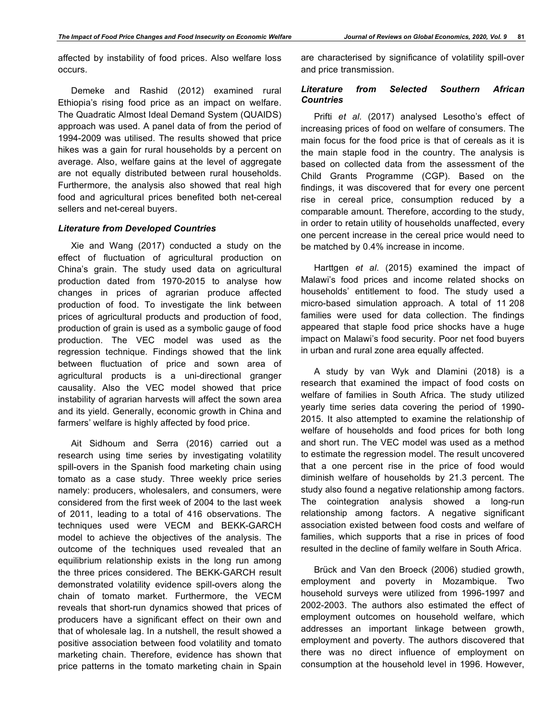affected by instability of food prices. Also welfare loss occurs.

Demeke and Rashid (2012) examined rural Ethiopia's rising food price as an impact on welfare. The Quadratic Almost Ideal Demand System (QUAIDS) approach was used. A panel data of from the period of 1994-2009 was utilised. The results showed that price hikes was a gain for rural households by a percent on average. Also, welfare gains at the level of aggregate are not equally distributed between rural households. Furthermore, the analysis also showed that real high food and agricultural prices benefited both net-cereal sellers and net-cereal buyers.

## *Literature from Developed Countries*

Xie and Wang (2017) conducted a study on the effect of fluctuation of agricultural production on China's grain. The study used data on agricultural production dated from 1970-2015 to analyse how changes in prices of agrarian produce affected production of food. To investigate the link between prices of agricultural products and production of food, production of grain is used as a symbolic gauge of food production. The VEC model was used as the regression technique. Findings showed that the link between fluctuation of price and sown area of agricultural products is a uni-directional granger causality. Also the VEC model showed that price instability of agrarian harvests will affect the sown area and its yield. Generally, economic growth in China and farmers' welfare is highly affected by food price.

Ait Sidhoum and Serra (2016) carried out a research using time series by investigating volatility spill-overs in the Spanish food marketing chain using tomato as a case study. Three weekly price series namely: producers, wholesalers, and consumers, were considered from the first week of 2004 to the last week of 2011, leading to a total of 416 observations. The techniques used were VECM and BEKK-GARCH model to achieve the objectives of the analysis. The outcome of the techniques used revealed that an equilibrium relationship exists in the long run among the three prices considered. The BEKK-GARCH result demonstrated volatility evidence spill-overs along the chain of tomato market. Furthermore, the VECM reveals that short-run dynamics showed that prices of producers have a significant effect on their own and that of wholesale lag. In a nutshell, the result showed a positive association between food volatility and tomato marketing chain. Therefore, evidence has shown that price patterns in the tomato marketing chain in Spain are characterised by significance of volatility spill-over and price transmission.

## *Literature from Selected Southern African Countries*

Prifti *et al*. (2017) analysed Lesotho's effect of increasing prices of food on welfare of consumers. The main focus for the food price is that of cereals as it is the main staple food in the country. The analysis is based on collected data from the assessment of the Child Grants Programme (CGP). Based on the findings, it was discovered that for every one percent rise in cereal price, consumption reduced by a comparable amount. Therefore, according to the study, in order to retain utility of households unaffected, every one percent increase in the cereal price would need to be matched by 0.4% increase in income.

Harttgen *et al*. (2015) examined the impact of Malawi's food prices and income related shocks on households' entitlement to food. The study used a micro-based simulation approach. A total of 11 208 families were used for data collection. The findings appeared that staple food price shocks have a huge impact on Malawi's food security. Poor net food buyers in urban and rural zone area equally affected.

A study by van Wyk and Dlamini (2018) is a research that examined the impact of food costs on welfare of families in South Africa. The study utilized yearly time series data covering the period of 1990- 2015. It also attempted to examine the relationship of welfare of households and food prices for both long and short run. The VEC model was used as a method to estimate the regression model. The result uncovered that a one percent rise in the price of food would diminish welfare of households by 21.3 percent. The study also found a negative relationship among factors. The cointegration analysis showed a long-run relationship among factors. A negative significant association existed between food costs and welfare of families, which supports that a rise in prices of food resulted in the decline of family welfare in South Africa.

Brück and Van den Broeck (2006) studied growth, employment and poverty in Mozambique. Two household surveys were utilized from 1996-1997 and 2002-2003. The authors also estimated the effect of employment outcomes on household welfare, which addresses an important linkage between growth, employment and poverty. The authors discovered that there was no direct influence of employment on consumption at the household level in 1996. However,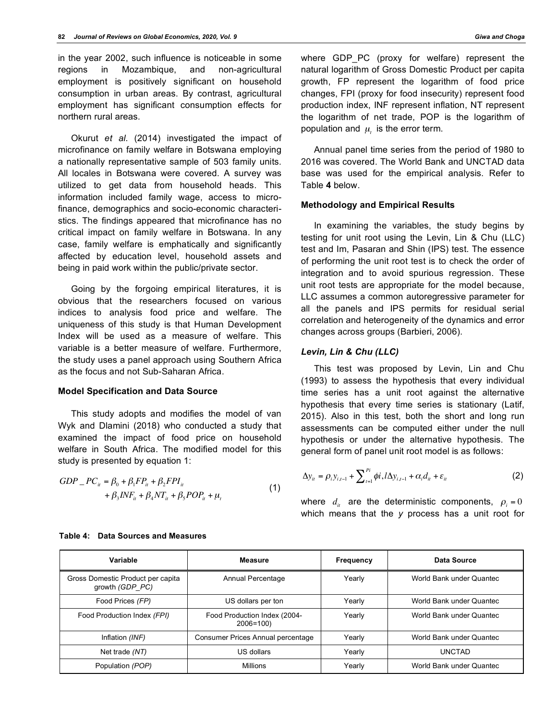in the year 2002, such influence is noticeable in some regions in Mozambique, and non-agricultural employment is positively significant on household consumption in urban areas. By contrast, agricultural employment has significant consumption effects for northern rural areas.

Okurut *et al*. (2014) investigated the impact of microfinance on family welfare in Botswana employing a nationally representative sample of 503 family units. All locales in Botswana were covered. A survey was utilized to get data from household heads. This information included family wage, access to microfinance, demographics and socio-economic characteristics. The findings appeared that microfinance has no critical impact on family welfare in Botswana. In any case, family welfare is emphatically and significantly affected by education level, household assets and being in paid work within the public/private sector.

Going by the forgoing empirical literatures, it is obvious that the researchers focused on various indices to analysis food price and welfare. The uniqueness of this study is that Human Development Index will be used as a measure of welfare. This variable is a better measure of welfare. Furthermore, the study uses a panel approach using Southern Africa as the focus and not Sub-Saharan Africa.

#### **Model Specification and Data Source**

This study adopts and modifies the model of van Wyk and Dlamini (2018) who conducted a study that examined the impact of food price on household welfare in South Africa. The modified model for this study is presented by equation 1:

$$
GDP_{-}PC_{ii} = \beta_0 + \beta_1 FP_{ii} + \beta_2 FPI_{ii} + \beta_3 INF_{ii} + \beta_4 NT_{ii} + \beta_5 POP_{ii} + \mu_t
$$
(1)

where GDP\_PC (proxy for welfare) represent the natural logarithm of Gross Domestic Product per capita growth, FP represent the logarithm of food price changes, FPI (proxy for food insecurity) represent food production index, INF represent inflation, NT represent the logarithm of net trade, POP is the logarithm of population and  $\mu$ , is the error term.

Annual panel time series from the period of 1980 to 2016 was covered. The World Bank and UNCTAD data base was used for the empirical analysis. Refer to Table **4** below.

## **Methodology and Empirical Results**

In examining the variables, the study begins by testing for unit root using the Levin, Lin & Chu (LLC) test and Im, Pasaran and Shin (IPS) test. The essence of performing the unit root test is to check the order of integration and to avoid spurious regression. These unit root tests are appropriate for the model because, LLC assumes a common autoregressive parameter for all the panels and IPS permits for residual serial correlation and heterogeneity of the dynamics and error changes across groups (Barbieri, 2006).

### *Levin, Lin & Chu (LLC)*

This test was proposed by Levin, Lin and Chu (1993) to assess the hypothesis that every individual time series has a unit root against the alternative hypothesis that every time series is stationary (Latif, 2015). Also in this test, both the short and long run assessments can be computed either under the null hypothesis or under the alternative hypothesis. The general form of panel unit root model is as follows:

$$
\Delta y_{it} = \rho_i y_{i,t-1} + \sum_{t=1}^{P_i} \phi_i l \Delta y_{i,t-1} + \alpha_i d_{it} + \varepsilon_{it}
$$
 (2)

where  $d_{it}$  are the deterministic components,  $\rho_i = 0$ which means that the *y* process has a unit root for

| Variable                                             | <b>Measure</b>                               | Frequency | Data Source              |
|------------------------------------------------------|----------------------------------------------|-----------|--------------------------|
| Gross Domestic Product per capita<br>growth (GDP PC) | Annual Percentage                            | Yearly    | World Bank under Quantec |
| Food Prices (FP)                                     | US dollars per ton                           | Yearly    | World Bank under Quantec |
| Food Production Index (FPI)                          | Food Production Index (2004-<br>$2006 = 100$ | Yearly    | World Bank under Quantec |
| Inflation (INF)                                      | Consumer Prices Annual percentage            | Yearly    | World Bank under Quantec |
| Net trade (NT)                                       | US dollars                                   | Yearly    | <b>UNCTAD</b>            |
| Population (POP)                                     | <b>Millions</b>                              | Yearly    | World Bank under Quantec |

#### **Table 4: Data Sources and Measures**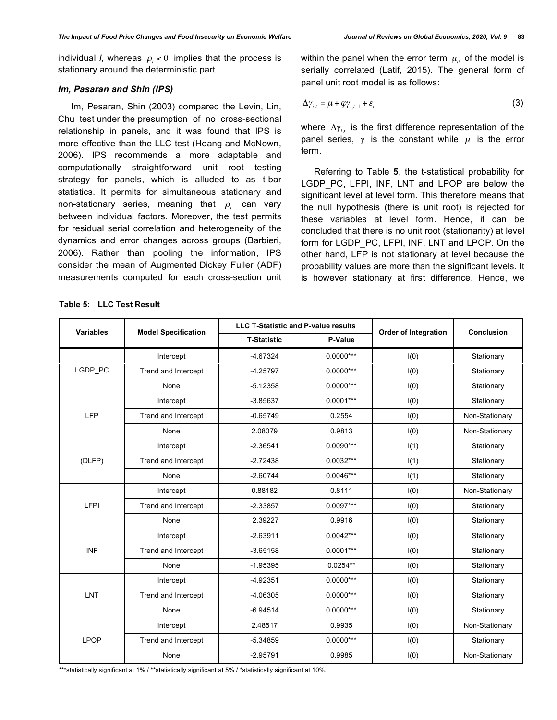individual *I*, whereas  $\rho_i < 0$  implies that the process is stationary around the deterministic part.

## *Im, Pasaran and Shin (IPS)*

Im, Pesaran, Shin (2003) compared the Levin, Lin, Chu test under the presumption of no cross-sectional relationship in panels, and it was found that IPS is more effective than the LLC test (Hoang and McNown, 2006). IPS recommends a more adaptable and computationally straightforward unit root testing strategy for panels, which is alluded to as t-bar statistics. It permits for simultaneous stationary and non-stationary series, meaning that  $\rho_i$  can vary between individual factors. Moreover, the test permits for residual serial correlation and heterogeneity of the dynamics and error changes across groups (Barbieri, 2006). Rather than pooling the information, IPS consider the mean of Augmented Dickey Fuller (ADF) measurements computed for each cross-section unit within the panel when the error term  $\mu_{it}$  of the model is serially correlated (Latif, 2015). The general form of panel unit root model is as follows:

$$
\Delta \gamma_{i,t} = \mu + \varphi \gamma_{i,t-1} + \varepsilon_t \tag{3}
$$

where  $\Delta \gamma_{i,t}$  is the first difference representation of the panel series,  $\gamma$  is the constant while  $\mu$  is the error term.

Referring to Table **5**, the t-statistical probability for LGDP PC, LFPI, INF, LNT and LPOP are below the significant level at level form. This therefore means that the null hypothesis (there is unit root) is rejected for these variables at level form. Hence, it can be concluded that there is no unit root (stationarity) at level form for LGDP\_PC, LFPI, INF, LNT and LPOP. On the other hand, LFP is not stationary at level because the probability values are more than the significant levels. It is however stationary at first difference. Hence, we

| Variables   | <b>Model Specification</b> | <b>LLC T-Statistic and P-value results</b> |             | <b>Order of Integration</b> | <b>Conclusion</b> |  |
|-------------|----------------------------|--------------------------------------------|-------------|-----------------------------|-------------------|--|
|             |                            | <b>T-Statistic</b>                         | P-Value     |                             |                   |  |
|             | Intercept                  | $-4.67324$                                 | $0.0000***$ | I(0)                        | Stationary        |  |
| LGDP_PC     | Trend and Intercept        | $-4.25797$                                 | $0.0000***$ | I(0)                        | Stationary        |  |
|             | None                       | $-5.12358$                                 | $0.0000***$ | I(0)                        | Stationary        |  |
|             | Intercept                  | $-3.85637$                                 | $0.0001***$ | I(0)                        | Stationary        |  |
| <b>LFP</b>  | Trend and Intercept        | $-0.65749$                                 | 0.2554      | I(0)                        | Non-Stationary    |  |
|             | None                       | 2.08079                                    | 0.9813      | I(0)                        | Non-Stationary    |  |
|             | Intercept                  | $-2.36541$                                 | $0.0090***$ | I(1)                        | Stationary        |  |
| (DLFP)      | Trend and Intercept        | $-2.72438$                                 | $0.0032***$ | I(1)                        | Stationary        |  |
|             | None                       | $-2.60744$                                 | $0.0046***$ | I(1)                        | Stationary        |  |
|             | Intercept                  | 0.88182                                    | 0.8111      | I(0)                        | Non-Stationary    |  |
| LFPI        | Trend and Intercept        | $-2.33857$                                 | $0.0097***$ | I(0)                        | Stationary        |  |
|             | None                       | 2.39227                                    | 0.9916      | I(0)                        | Stationary        |  |
|             | Intercept                  | $-2.63911$                                 | $0.0042***$ | I(0)                        | Stationary        |  |
| <b>INF</b>  | Trend and Intercept        | $-3.65158$                                 | $0.0001***$ | I(0)                        | Stationary        |  |
|             | None                       | $-1.95395$                                 | $0.0254**$  | I(0)                        | Stationary        |  |
|             | Intercept                  | $-4.92351$                                 | $0.0000***$ | I(0)                        | Stationary        |  |
| LNT         | Trend and Intercept        | $-4.06305$                                 | $0.0000***$ | I(0)                        | Stationary        |  |
|             | None                       | $-6.94514$                                 | $0.0000***$ | I(0)                        | Stationary        |  |
|             | Intercept                  | 2.48517                                    | 0.9935      | I(0)                        | Non-Stationary    |  |
| <b>LPOP</b> | Trend and Intercept        | $-5.34859$                                 | $0.0000***$ | I(0)                        | Stationary        |  |
|             | None                       | $-2.95791$                                 | 0.9985      | I(0)                        | Non-Stationary    |  |

**Table 5: LLC Test Result**

\*\*\*statistically significant at 1% / \*\*statistically significant at 5% / \*statistically significant at 10%.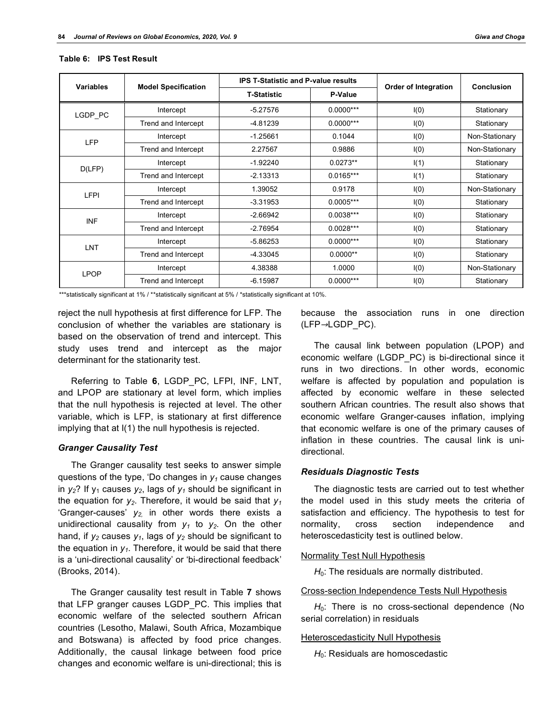| <b>Variables</b> |                            | <b>IPS T-Statistic and P-value results</b> |             |                      | Conclusion     |
|------------------|----------------------------|--------------------------------------------|-------------|----------------------|----------------|
|                  | <b>Model Specification</b> | <b>T-Statistic</b>                         | P-Value     | Order of Integration |                |
| LGDP PC          | Intercept                  | $-5.27576$                                 | $0.0000***$ | I(0)                 | Stationary     |
|                  | Trend and Intercept        | $-4.81239$                                 | $0.0000***$ | I(0)                 | Stationary     |
| <b>LFP</b>       | Intercept                  | $-1.25661$                                 | 0.1044      | I(0)                 | Non-Stationary |
|                  | Trend and Intercept        | 2.27567                                    | 0.9886      | I(0)                 | Non-Stationary |
|                  | Intercept                  | $-1.92240$                                 | $0.0273**$  | I(1)                 | Stationary     |
| D(LFP)           | Trend and Intercept        | $-2.13313$                                 | $0.0165***$ | I(1)                 | Stationary     |
| <b>LFPI</b>      | Intercept                  | 1.39052                                    | 0.9178      | I(0)                 | Non-Stationary |
|                  | Trend and Intercept        | $-3.31953$                                 | $0.0005***$ | I(0)                 | Stationary     |
| <b>INF</b>       | Intercept                  | $-2.66942$                                 | $0.0038***$ | I(0)                 | Stationary     |
|                  | Trend and Intercept        | $-2.76954$                                 | $0.0028***$ | I(0)                 | Stationary     |
|                  | Intercept                  | $-5.86253$                                 | $0.0000***$ | I(0)                 | Stationary     |
| <b>LNT</b>       | Trend and Intercept        | $-4.33045$                                 | $0.0000**$  | I(0)                 | Stationary     |
| <b>LPOP</b>      | Intercept                  | 4.38388                                    | 1.0000      | I(0)                 | Non-Stationary |
|                  | Trend and Intercept        | $-6.15987$                                 | $0.0000***$ | I(0)                 | Stationary     |

#### **Table 6: IPS Test Result**

\*\*\*statistically significant at 1% / \*\*statistically significant at 5% / \*statistically significant at 10%.

reject the null hypothesis at first difference for LFP. The conclusion of whether the variables are stationary is based on the observation of trend and intercept. This study uses trend and intercept as the major determinant for the stationarity test.

Referring to Table **6**, LGDP\_PC, LFPI, INF, LNT, and LPOP are stationary at level form, which implies that the null hypothesis is rejected at level. The other variable, which is LFP, is stationary at first difference implying that at I(1) the null hypothesis is rejected.

#### *Granger Causality Test*

The Granger causality test seeks to answer simple questions of the type, 'Do changes in  $y_1$  cause changes in  $y_2$ ? If  $y_1$  causes  $y_2$ , lags of  $y_1$  should be significant in the equation for  $y_2$ . Therefore, it would be said that  $y_1$ 'Granger-causes'  $y_2$  in other words there exists a unidirectional causality from  $y_1$  to  $y_2$ . On the other hand, if  $y_2$  causes  $y_1$ , lags of  $y_2$  should be significant to the equation in  $y_1$ . Therefore, it would be said that there is a 'uni-directional causality' or 'bi-directional feedback' (Brooks, 2014).

The Granger causality test result in Table **7** shows that LFP granger causes LGDP\_PC. This implies that economic welfare of the selected southern African countries (Lesotho, Malawi, South Africa, Mozambique and Botswana) is affected by food price changes. Additionally, the causal linkage between food price changes and economic welfare is uni-directional; this is

because the association runs in one direction (LFP→LGDP\_PC).

The causal link between population (LPOP) and economic welfare (LGDP\_PC) is bi-directional since it runs in two directions. In other words, economic welfare is affected by population and population is affected by economic welfare in these selected southern African countries. The result also shows that economic welfare Granger-causes inflation, implying that economic welfare is one of the primary causes of inflation in these countries. The causal link is unidirectional.

## *Residuals Diagnostic Tests*

The diagnostic tests are carried out to test whether the model used in this study meets the criteria of satisfaction and efficiency. The hypothesis to test for normality, cross section independence and heteroscedasticity test is outlined below.

#### Normality Test Null Hypothesis

 $H<sub>0</sub>$ : The residuals are normally distributed.

#### Cross-section Independence Tests Null Hypothesis

 $H_0$ : There is no cross-sectional dependence (No serial correlation) in residuals

#### Heteroscedasticity Null Hypothesis

H<sub>0</sub>: Residuals are homoscedastic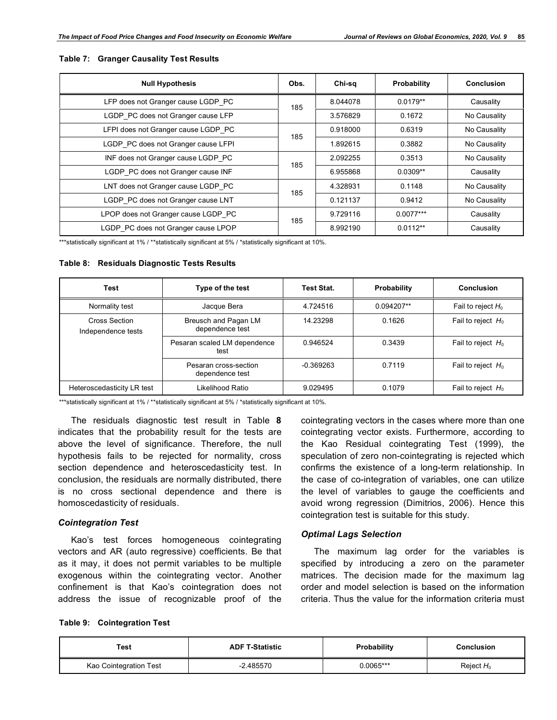| <b>Null Hypothesis</b>              |     | Chi-sq   | Probability | <b>Conclusion</b> |
|-------------------------------------|-----|----------|-------------|-------------------|
| LFP does not Granger cause LGDP PC  | 185 | 8.044078 | $0.0179**$  | Causality         |
| LGDP_PC does not Granger cause LFP  |     | 3.576829 | 0.1672      | No Causality      |
| LFPI does not Granger cause LGDP PC | 185 | 0.918000 | 0.6319      | No Causality      |
| LGDP PC does not Granger cause LFPI |     | 1.892615 | 0.3882      | No Causality      |
| INF does not Granger cause LGDP PC  |     | 2.092255 | 0.3513      | No Causality      |
| LGDP PC does not Granger cause INF  | 185 | 6.955868 | $0.0309**$  | Causality         |
| LNT does not Granger cause LGDP PC  | 185 | 4.328931 | 0.1148      | No Causality      |
| LGDP PC does not Granger cause LNT  |     | 0.121137 | 0.9412      | No Causality      |
| LPOP does not Granger cause LGDP PC | 185 | 9.729116 | $0.0077***$ | Causality         |
| LGDP PC does not Granger cause LPOP |     | 8.992190 | $0.0112**$  | Causality         |

#### **Table 7: Granger Causality Test Results**

\*\*\*statistically significant at 1% / \*\*statistically significant at 5% / \*statistically significant at 10%.

#### **Table 8: Residuals Diagnostic Tests Results**

| Test                                | Type of the test                         | <b>Test Stat.</b> | Probability | Conclusion           |
|-------------------------------------|------------------------------------------|-------------------|-------------|----------------------|
| Normality test                      | Jacque Bera                              | 4.724516          | 0.094207**  | Fail to reject $H_0$ |
| Cross Section<br>Independence tests | Breusch and Pagan LM<br>dependence test  | 14.23298          | 0.1626      | Fail to reject $H_0$ |
|                                     | Pesaran scaled LM dependence<br>test     | 0.946524          | 0.3439      | Fail to reject $H_0$ |
|                                     | Pesaran cross-section<br>dependence test | $-0.369263$       | 0.7119      | Fail to reject $H_0$ |
| Heteroscedasticity LR test          | Likelihood Ratio                         | 9.029495          | 0.1079      | Fail to reject $H_0$ |

\*\*\*statistically significant at 1% / \*\*statistically significant at 5% / \*statistically significant at 10%.

The residuals diagnostic test result in Table **8** indicates that the probability result for the tests are above the level of significance. Therefore, the null hypothesis fails to be rejected for normality, cross section dependence and heteroscedasticity test. In conclusion, the residuals are normally distributed, there is no cross sectional dependence and there is homoscedasticity of residuals.

## *Cointegration Test*

Kao's test forces homogeneous cointegrating vectors and AR (auto regressive) coefficients. Be that as it may, it does not permit variables to be multiple exogenous within the cointegrating vector. Another confinement is that Kao's cointegration does not address the issue of recognizable proof of the

cointegrating vectors in the cases where more than one cointegrating vector exists. Furthermore, according to the Kao Residual cointegrating Test (1999), the speculation of zero non-cointegrating is rejected which confirms the existence of a long-term relationship. In the case of co-integration of variables, one can utilize the level of variables to gauge the coefficients and avoid wrong regression (Dimitrios, 2006). Hence this cointegration test is suitable for this study.

## *Optimal Lags Selection*

The maximum lag order for the variables is specified by introducing a zero on the parameter matrices. The decision made for the maximum lag order and model selection is based on the information criteria. Thus the value for the information criteria must

|  | <b>Table 9: Cointegration Test</b> |  |
|--|------------------------------------|--|
|--|------------------------------------|--|

| Test                   | <b>ADF T-Statistic</b> | <b>Probability</b> | Conclusion   |
|------------------------|------------------------|--------------------|--------------|
| Kao Cointegration Test | 2.485570               | 0.0065***          | Reject $H_0$ |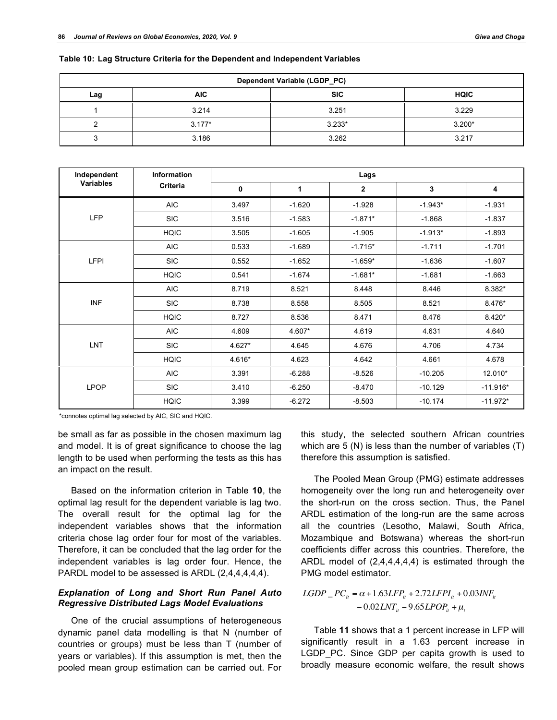| Dependent Variable (LGDP_PC) |            |            |             |  |  |  |
|------------------------------|------------|------------|-------------|--|--|--|
| Lag                          | <b>AIC</b> | <b>SIC</b> | <b>HQIC</b> |  |  |  |
|                              | 3.214      | 3.251      | 3.229       |  |  |  |
|                              | $3.177*$   | $3.233*$   | $3.200*$    |  |  |  |
|                              | 3.186      | 3.262      | 3.217       |  |  |  |

**Table 10: Lag Structure Criteria for the Dependent and Independent Variables**

| Independent | <b>Information</b> |        |          | Lags           |           |            |
|-------------|--------------------|--------|----------|----------------|-----------|------------|
| Variables   | Criteria           | 0      | 1        | $\overline{2}$ | 3         | 4          |
|             | <b>AIC</b>         | 3.497  | $-1.620$ | $-1.928$       | $-1.943*$ | $-1.931$   |
| <b>LFP</b>  | <b>SIC</b>         | 3.516  | $-1.583$ | $-1.871*$      | $-1.868$  | $-1.837$   |
|             | <b>HQIC</b>        | 3.505  | $-1.605$ | $-1.905$       | $-1.913*$ | $-1.893$   |
|             | <b>AIC</b>         | 0.533  | $-1.689$ | $-1.715*$      | $-1.711$  | $-1.701$   |
| <b>LFPI</b> | <b>SIC</b>         | 0.552  | $-1.652$ | $-1.659*$      | $-1.636$  | $-1.607$   |
|             | <b>HQIC</b>        | 0.541  | $-1.674$ | $-1.681*$      | $-1.681$  | $-1.663$   |
|             | <b>AIC</b>         | 8.719  | 8.521    | 8.448          | 8.446     | 8.382*     |
| <b>INF</b>  | <b>SIC</b>         | 8.738  | 8.558    | 8.505          | 8.521     | 8.476*     |
|             | <b>HQIC</b>        | 8.727  | 8.536    | 8.471          | 8.476     | $8.420*$   |
|             | <b>AIC</b>         | 4.609  | 4.607*   | 4.619          | 4.631     | 4.640      |
| LNT         | <b>SIC</b>         | 4.627* | 4.645    | 4.676          | 4.706     | 4.734      |
|             | <b>HQIC</b>        | 4.616* | 4.623    | 4.642          | 4.661     | 4.678      |
|             | <b>AIC</b>         | 3.391  | $-6.288$ | $-8.526$       | $-10.205$ | 12.010*    |
| <b>LPOP</b> | <b>SIC</b>         | 3.410  | $-6.250$ | $-8.470$       | $-10.129$ | $-11.916*$ |
|             | <b>HQIC</b>        | 3.399  | $-6.272$ | $-8.503$       | $-10.174$ | $-11.972*$ |

\*connotes optimal lag selected by AIC, SIC and HQIC.

be small as far as possible in the chosen maximum lag and model. It is of great significance to choose the lag length to be used when performing the tests as this has an impact on the result.

Based on the information criterion in Table **10**, the optimal lag result for the dependent variable is lag two. The overall result for the optimal lag for the independent variables shows that the information criteria chose lag order four for most of the variables. Therefore, it can be concluded that the lag order for the independent variables is lag order four. Hence, the PARDL model to be assessed is ARDL (2,4,4,4,4,4).

## *Explanation of Long and Short Run Panel Auto Regressive Distributed Lags Model Evaluations*

One of the crucial assumptions of heterogeneous dynamic panel data modelling is that N (number of countries or groups) must be less than T (number of years or variables). If this assumption is met, then the pooled mean group estimation can be carried out. For

this study, the selected southern African countries which are 5 (N) is less than the number of variables (T) therefore this assumption is satisfied.

The Pooled Mean Group (PMG) estimate addresses homogeneity over the long run and heterogeneity over the short-run on the cross section. Thus, the Panel ARDL estimation of the long-run are the same across all the countries (Lesotho, Malawi, South Africa, Mozambique and Botswana) whereas the short-run coefficients differ across this countries. Therefore, the ARDL model of (2,4,4,4,4,4) is estimated through the PMG model estimator.

 $LGDP$ <sub>*it*</sub> =  $\alpha$  + 1.63*LFP<sub>it</sub>* + 2.72*LFPI<sub>it</sub>* + 0.03*INF<sub>it</sub>*  $-0.02 LNT_{it} - 9.65 LPOP_{it} + \mu_t$ 

## Table **11** shows that a 1 percent increase in LFP will significantly result in a 1.63 percent increase in LGDP\_PC. Since GDP per capita growth is used to broadly measure economic welfare, the result shows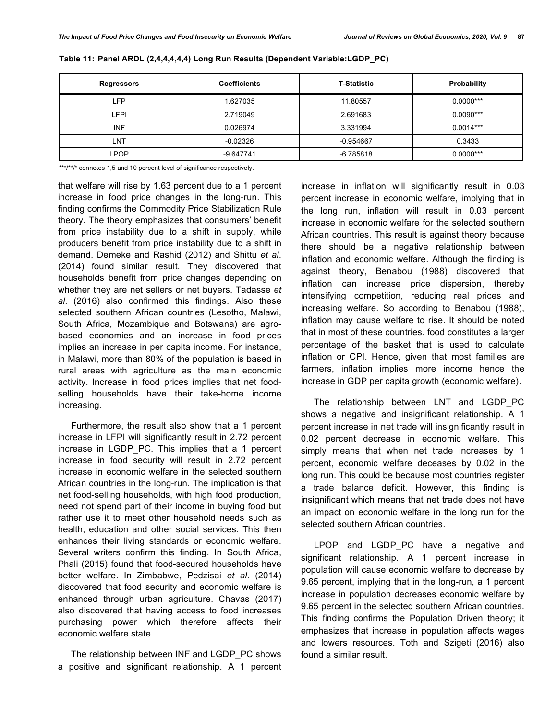| <b>Regressors</b> | <b>Coefficients</b> | <b>T-Statistic</b> | Probability |
|-------------------|---------------------|--------------------|-------------|
| LFP               | 1.627035            | 11.80557           | $0.0000***$ |
| LFPI              | 2.719049            | 2.691683           | $0.0090***$ |
| <b>INF</b>        | 0.026974            | 3.331994           | $0.0014***$ |
| LNT               | $-0.02326$          | $-0.954667$        | 0.3433      |
| LPOP              | $-9.647741$         | -6.785818          | $0.0000***$ |

**Table 11: Panel ARDL (2,4,4,4,4,4) Long Run Results (Dependent Variable:LGDP\_PC)**

\*\*\*/\*\*/\* connotes 1,5 and 10 percent level of significance respectively.

that welfare will rise by 1.63 percent due to a 1 percent increase in food price changes in the long-run. This finding confirms the Commodity Price Stabilization Rule theory. The theory emphasizes that consumers' benefit from price instability due to a shift in supply, while producers benefit from price instability due to a shift in demand. Demeke and Rashid (2012) and Shittu *et al*. (2014) found similar result. They discovered that households benefit from price changes depending on whether they are net sellers or net buyers. Tadasse *et al*. (2016) also confirmed this findings. Also these selected southern African countries (Lesotho, Malawi, South Africa, Mozambique and Botswana) are agrobased economies and an increase in food prices implies an increase in per capita income. For instance, in Malawi, more than 80% of the population is based in rural areas with agriculture as the main economic activity. Increase in food prices implies that net foodselling households have their take-home income increasing.

Furthermore, the result also show that a 1 percent increase in LFPI will significantly result in 2.72 percent increase in LGDP\_PC. This implies that a 1 percent increase in food security will result in 2.72 percent increase in economic welfare in the selected southern African countries in the long-run. The implication is that net food-selling households, with high food production, need not spend part of their income in buying food but rather use it to meet other household needs such as health, education and other social services. This then enhances their living standards or economic welfare. Several writers confirm this finding. In South Africa, Phali (2015) found that food-secured households have better welfare. In Zimbabwe, Pedzisai *et al*. (2014) discovered that food security and economic welfare is enhanced through urban agriculture. Chavas (2017) also discovered that having access to food increases purchasing power which therefore affects their economic welfare state.

The relationship between INF and LGDP\_PC shows a positive and significant relationship. A 1 percent increase in inflation will significantly result in 0.03 percent increase in economic welfare, implying that in the long run, inflation will result in 0.03 percent increase in economic welfare for the selected southern African countries. This result is against theory because there should be a negative relationship between inflation and economic welfare. Although the finding is against theory, Benabou (1988) discovered that inflation can increase price dispersion, thereby intensifying competition, reducing real prices and increasing welfare. So according to Benabou (1988), inflation may cause welfare to rise. It should be noted that in most of these countries, food constitutes a larger percentage of the basket that is used to calculate inflation or CPI. Hence, given that most families are farmers, inflation implies more income hence the increase in GDP per capita growth (economic welfare).

The relationship between LNT and LGDP\_PC shows a negative and insignificant relationship. A 1 percent increase in net trade will insignificantly result in 0.02 percent decrease in economic welfare. This simply means that when net trade increases by 1 percent, economic welfare deceases by 0.02 in the long run. This could be because most countries register a trade balance deficit. However, this finding is insignificant which means that net trade does not have an impact on economic welfare in the long run for the selected southern African countries.

LPOP and LGDP PC have a negative and significant relationship. A 1 percent increase in population will cause economic welfare to decrease by 9.65 percent, implying that in the long-run, a 1 percent increase in population decreases economic welfare by 9.65 percent in the selected southern African countries. This finding confirms the Population Driven theory; it emphasizes that increase in population affects wages and lowers resources. Toth and Szigeti (2016) also found a similar result.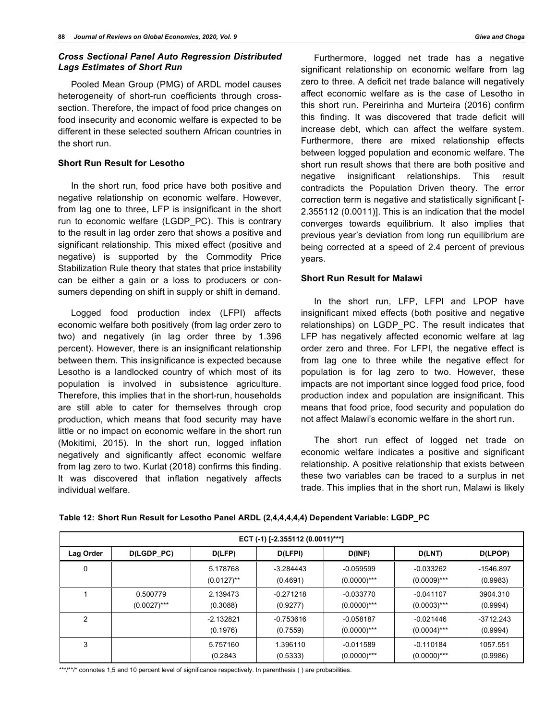## *Cross Sectional Panel Auto Regression Distributed Lags Estimates of Short Run*

Pooled Mean Group (PMG) of ARDL model causes heterogeneity of short-run coefficients through crosssection. Therefore, the impact of food price changes on food insecurity and economic welfare is expected to be different in these selected southern African countries in the short run.

## **Short Run Result for Lesotho**

In the short run, food price have both positive and negative relationship on economic welfare. However, from lag one to three, LFP is insignificant in the short run to economic welfare (LGDP\_PC). This is contrary to the result in lag order zero that shows a positive and significant relationship. This mixed effect (positive and negative) is supported by the Commodity Price Stabilization Rule theory that states that price instability can be either a gain or a loss to producers or consumers depending on shift in supply or shift in demand.

Logged food production index (LFPI) affects economic welfare both positively (from lag order zero to two) and negatively (in lag order three by 1.396 percent). However, there is an insignificant relationship between them. This insignificance is expected because Lesotho is a landlocked country of which most of its population is involved in subsistence agriculture. Therefore, this implies that in the short-run, households are still able to cater for themselves through crop production, which means that food security may have little or no impact on economic welfare in the short run (Mokitimi, 2015). In the short run, logged inflation negatively and significantly affect economic welfare from lag zero to two. Kurlat (2018) confirms this finding. It was discovered that inflation negatively affects individual welfare.

Furthermore, logged net trade has a negative significant relationship on economic welfare from lag zero to three. A deficit net trade balance will negatively affect economic welfare as is the case of Lesotho in this short run. Pereirinha and Murteira (2016) confirm this finding. It was discovered that trade deficit will increase debt, which can affect the welfare system. Furthermore, there are mixed relationship effects between logged population and economic welfare. The short run result shows that there are both positive and negative insignificant relationships. This result contradicts the Population Driven theory. The error correction term is negative and statistically significant [- 2.355112 (0.0011)]. This is an indication that the model converges towards equilibrium. It also implies that previous year's deviation from long run equilibrium are being corrected at a speed of 2.4 percent of previous years.

## **Short Run Result for Malawi**

In the short run, LFP, LFPI and LPOP have insignificant mixed effects (both positive and negative relationships) on LGDP\_PC. The result indicates that LFP has negatively affected economic welfare at lag order zero and three. For LFPI, the negative effect is from lag one to three while the negative effect for population is for lag zero to two. However, these impacts are not important since logged food price, food production index and population are insignificant. This means that food price, food security and population do not affect Malawi's economic welfare in the short run.

The short run effect of logged net trade on economic welfare indicates a positive and significant relationship. A positive relationship that exists between these two variables can be traced to a surplus in net trade. This implies that in the short run, Malawi is likely

| ECT (-1) [-2.355112 (0.0011)***] |                            |                           |                         |                               |                               |                         |  |
|----------------------------------|----------------------------|---------------------------|-------------------------|-------------------------------|-------------------------------|-------------------------|--|
| Lag Order                        | D(LGDP_PC)                 | D(LFP)                    | D(LFPI)                 | D(INF)                        | D(LNT)                        | D(LPOP)                 |  |
| 0                                |                            | 5.178768<br>$(0.0127)$ ** | $-3.284443$<br>(0.4691) | $-0.059599$<br>$(0.0000)$ *** | $-0.033262$<br>$(0.0009)$ *** | $-1546.897$<br>(0.9983) |  |
|                                  | 0.500779<br>$(0.0027)$ *** | 2.139473<br>(0.3088)      | $-0.271218$<br>(0.9277) | $-0.033770$<br>$(0.0000)$ *** | $-0.041107$<br>$(0.0003)$ *** | 3904.310<br>(0.9994)    |  |
| $\overline{2}$                   |                            | $-2.132821$<br>(0.1976)   | $-0.753616$<br>(0.7559) | $-0.058187$<br>$(0.0000)$ *** | $-0.021446$<br>$(0.0004)$ *** | $-3712.243$<br>(0.9994) |  |
| 3                                |                            | 5.757160<br>(0.2843)      | 1.396110<br>(0.5333)    | $-0.011589$<br>$(0.0000)$ *** | $-0.110184$<br>$(0.0000)$ *** | 1057.551<br>(0.9986)    |  |

**Table 12: Short Run Result for Lesotho Panel ARDL (2,4,4,4,4,4) Dependent Variable: LGDP\_PC**

\*\*\*/\*\*/\* connotes 1,5 and 10 percent level of significance respectively. In parenthesis () are probabilities.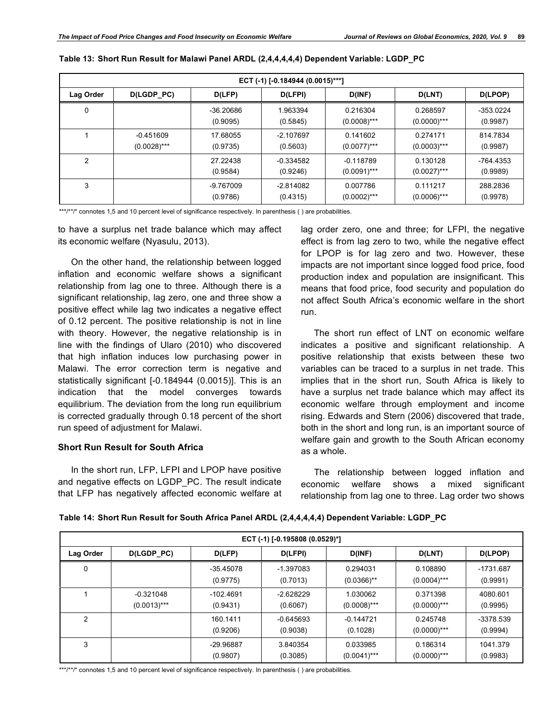| ECT (-1) [-0.184944 (0.0015)***] |                               |                       |                         |                               |                            |                       |  |  |
|----------------------------------|-------------------------------|-----------------------|-------------------------|-------------------------------|----------------------------|-----------------------|--|--|
| Lag Order                        | D(LGDP_PC)                    | D(LFP)                | D(LFPI)                 | D(INF)                        | D(LNT)                     | D(LPOP)               |  |  |
| 0                                |                               | -36.20686<br>(0.9095) | 1.963394<br>(0.5845)    | 0.216304<br>$(0.0008)$ ***    | 0.268597<br>$(0.0000)$ *** | -353.0224<br>(0.9987) |  |  |
|                                  | $-0.451609$<br>$(0.0028)$ *** | 17.68055<br>(0.9735)  | $-2.107697$<br>(0.5603) | 0.141602<br>$(0.0077)$ ***    | 0.274171<br>$(0.0003)$ *** | 814.7834<br>(0.9987)  |  |  |
| 2                                |                               | 27.22438<br>(0.9584)  | $-0.334582$<br>(0.9246) | $-0.118789$<br>$(0.0091)$ *** | 0.130128<br>$(0.0027)$ *** | -764.4353<br>(0.9989) |  |  |
| 3                                |                               | -9.767009<br>(0.9786) | $-2.814082$<br>(0.4315) | 0.007786<br>$(0.0002)$ ***    | 0.111217<br>$(0.0006)$ *** | 288,2836<br>(0.9978)  |  |  |

| Table 13: Short Run Result for Malawi Panel ARDL (2,4,4,4,4,4) Dependent Variable: LGDP_PC |  |  |
|--------------------------------------------------------------------------------------------|--|--|
|                                                                                            |  |  |

\*\*\*/\*\*/\* connotes 1,5 and 10 percent level of significance respectively. In parenthesis () are probabilities.

to have a surplus net trade balance which may affect its economic welfare (Nyasulu, 2013).

On the other hand, the relationship between logged inflation and economic welfare shows a significant relationship from lag one to three. Although there is a significant relationship, lag zero, one and three show a positive effect while lag two indicates a negative effect of 0.12 percent. The positive relationship is not in line with theory. However, the negative relationship is in line with the findings of Ularo (2010) who discovered that high inflation induces low purchasing power in Malawi. The error correction term is negative and statistically significant [-0.184944 (0.0015)]. This is an indication that the model converges towards equilibrium. The deviation from the long run equilibrium is corrected gradually through 0.18 percent of the short run speed of adjustment for Malawi.

## **Short Run Result for South Africa**

In the short run, LFP, LFPI and LPOP have positive and negative effects on LGDP\_PC. The result indicate that LFP has negatively affected economic welfare at lag order zero, one and three; for LFPI, the negative effect is from lag zero to two, while the negative effect for LPOP is for lag zero and two. However, these impacts are not important since logged food price, food production index and population are insignificant. This means that food price, food security and population do not affect South Africa's economic welfare in the short run.

The short run effect of LNT on economic welfare indicates a positive and significant relationship. A positive relationship that exists between these two variables can be traced to a surplus in net trade. This implies that in the short run, South Africa is likely to have a surplus net trade balance which may affect its economic welfare through employment and income rising. Edwards and Stern (2006) discovered that trade, both in the short and long run, is an important source of welfare gain and growth to the South African economy as a whole.

The relationship between logged inflation and economic welfare shows a mixed significant relationship from lag one to three. Lag order two shows

|  | Table 14: Short Run Result for South Africa Panel ARDL (2,4,4,4,4,4) Dependent Variable: LGDP_PC |  |  |  |
|--|--------------------------------------------------------------------------------------------------|--|--|--|
|--|--------------------------------------------------------------------------------------------------|--|--|--|

| ECT (-1) [-0.195808 (0.0529)*] |                               |                         |                         |                                      |                            |                       |  |  |
|--------------------------------|-------------------------------|-------------------------|-------------------------|--------------------------------------|----------------------------|-----------------------|--|--|
| Lag Order                      | D(LGDP_PC)                    | D(LFP)                  | D(LFPI)                 | D(INF)                               | D(LNT)                     | D(LPOP)               |  |  |
| 0                              |                               | $-35.45078$<br>(0.9775) | $-1.397083$<br>(0.7013) | 0.294031<br>$(0.0366)$ <sup>**</sup> | 0.108890<br>$(0.0004)$ *** | -1731.687<br>(0.9991) |  |  |
|                                | $-0.321048$<br>$(0.0013)$ *** | $-102.4691$<br>(0.9431) | $-2.628229$<br>(0.6067) | 1.030062<br>$(0.0008)$ ***           | 0.371398<br>$(0.0000)$ *** | 4080.601<br>(0.9995)  |  |  |
| 2                              |                               | 160.1411<br>(0.9206)    | $-0.645693$<br>(0.9038) | $-0.144721$<br>(0.1028)              | 0.245748<br>$(0.0000)$ *** | -3378.539<br>(0.9994) |  |  |
| 3                              |                               | -29.96887<br>(0.9807)   | 3.840354<br>(0.3085)    | 0.033985<br>$(0.0041)$ ***           | 0.186314<br>$(0.0000)$ *** | 1041.379<br>(0.9983)  |  |  |

\*\*\*/\*\*/\* connotes 1,5 and 10 percent level of significance respectively. In parenthesis () are probabilities.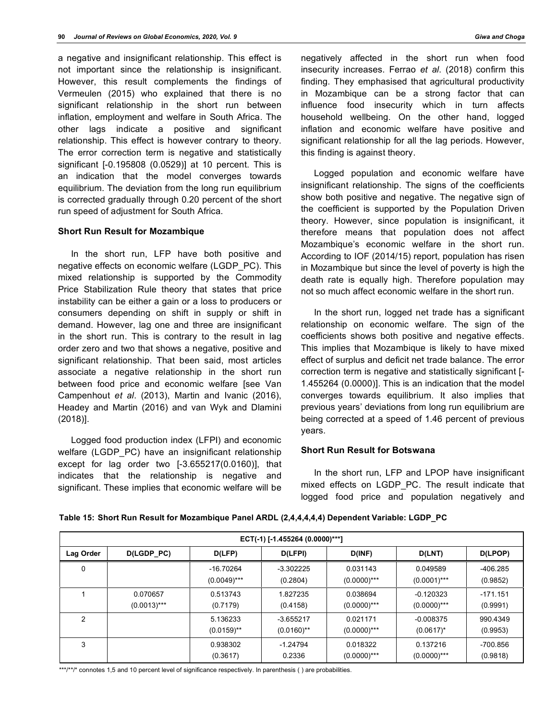a negative and insignificant relationship. This effect is not important since the relationship is insignificant. However, this result complements the findings of Vermeulen (2015) who explained that there is no significant relationship in the short run between inflation, employment and welfare in South Africa. The other lags indicate a positive and significant relationship. This effect is however contrary to theory. The error correction term is negative and statistically significant [-0.195808 (0.0529)] at 10 percent. This is an indication that the model converges towards equilibrium. The deviation from the long run equilibrium is corrected gradually through 0.20 percent of the short run speed of adjustment for South Africa.

## **Short Run Result for Mozambique**

In the short run, LFP have both positive and negative effects on economic welfare (LGDP\_PC). This mixed relationship is supported by the Commodity Price Stabilization Rule theory that states that price instability can be either a gain or a loss to producers or consumers depending on shift in supply or shift in demand. However, lag one and three are insignificant in the short run. This is contrary to the result in lag order zero and two that shows a negative, positive and significant relationship. That been said, most articles associate a negative relationship in the short run between food price and economic welfare [see Van Campenhout *et al*. (2013), Martin and Ivanic (2016), Headey and Martin (2016) and van Wyk and Dlamini (2018)].

Logged food production index (LFPI) and economic welfare (LGDP\_PC) have an insignificant relationship except for lag order two [-3.655217(0.0160)], that indicates that the relationship is negative and significant. These implies that economic welfare will be

negatively affected in the short run when food insecurity increases. Ferrao *et al*. (2018) confirm this finding. They emphasised that agricultural productivity in Mozambique can be a strong factor that can influence food insecurity which in turn affects household wellbeing. On the other hand, logged inflation and economic welfare have positive and significant relationship for all the lag periods. However, this finding is against theory.

Logged population and economic welfare have insignificant relationship. The signs of the coefficients show both positive and negative. The negative sign of the coefficient is supported by the Population Driven theory. However, since population is insignificant, it therefore means that population does not affect Mozambique's economic welfare in the short run. According to IOF (2014/15) report, population has risen in Mozambique but since the level of poverty is high the death rate is equally high. Therefore population may not so much affect economic welfare in the short run.

In the short run, logged net trade has a significant relationship on economic welfare. The sign of the coefficients shows both positive and negative effects. This implies that Mozambique is likely to have mixed effect of surplus and deficit net trade balance. The error correction term is negative and statistically significant [- 1.455264 (0.0000)]. This is an indication that the model converges towards equilibrium. It also implies that previous years' deviations from long run equilibrium are being corrected at a speed of 1.46 percent of previous years.

## **Short Run Result for Botswana**

In the short run, LFP and LPOP have insignificant mixed effects on LGDP\_PC. The result indicate that logged food price and population negatively and

|  |  | Table TV. Onort Kull Result for Mozambique Failer AKDL (2,4,4,4,4,4) Dependent Variable. LODF FO |  |
|--|--|--------------------------------------------------------------------------------------------------|--|
|  |  |                                                                                                  |  |
|  |  |                                                                                                  |  |

**Table 15: Short Run Result for Mozambique Panel ARDL (2,4,4,4,4,4) Dependent Variable: LGDP\_PC**

| ECT(-1) [-1.455264 (0.0000)***] |                            |                             |                              |                            |                               |                        |  |
|---------------------------------|----------------------------|-----------------------------|------------------------------|----------------------------|-------------------------------|------------------------|--|
| Lag Order                       | D(LGDP_PC)                 | D(LFP)                      | D(LFPI)                      | D(INF)                     | D(LNT)                        | D(LPOP)                |  |
| 0                               |                            | -16.70264<br>$(0.0049)$ *** | $-3.302225$<br>(0.2804)      | 0.031143<br>$(0.0000)$ *** | 0.049589<br>$(0.0001)$ ***    | $-406.285$<br>(0.9852) |  |
|                                 | 0.070657<br>$(0.0013)$ *** | 0.513743<br>(0.7179)        | 1.827235<br>(0.4158)         | 0.038694<br>$(0.0000)$ *** | $-0.120323$<br>$(0.0000)$ *** | $-171.151$<br>(0.9991) |  |
| 2                               |                            | 5.136233<br>$(0.0159)$ **   | $-3.655217$<br>$(0.0160)$ ** | 0.021171<br>$(0.0000)$ *** | $-0.008375$<br>$(0.0617)^*$   | 990.4349<br>(0.9953)   |  |
| 3                               |                            | 0.938302<br>(0.3617)        | $-1.24794$<br>0.2336         | 0.018322<br>$(0.0000)$ *** | 0.137216<br>$(0.0000)$ ***    | -700.856<br>(0.9818)   |  |

\*\*\*/\*\*/\* connotes 1,5 and 10 percent level of significance respectively. In parenthesis () are probabilities.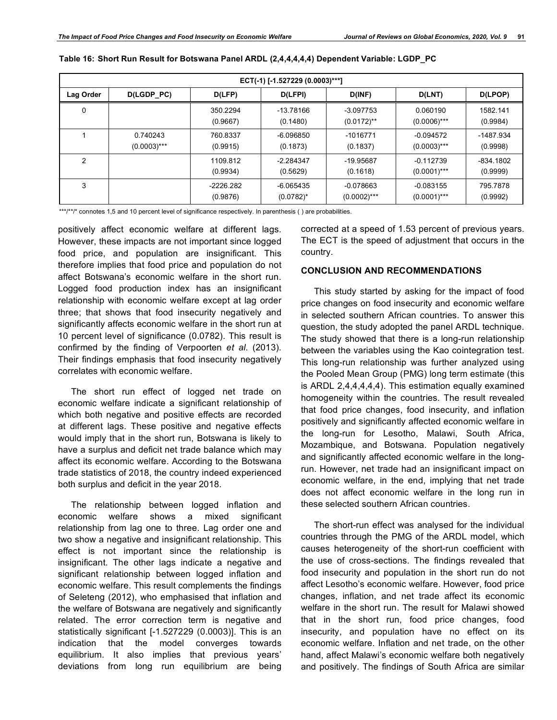| ECT(-1) [-1.527229 (0.0003)***] |                            |                       |                               |                               |                               |                         |  |
|---------------------------------|----------------------------|-----------------------|-------------------------------|-------------------------------|-------------------------------|-------------------------|--|
| Lag Order                       | D(LGDP_PC)                 | D(LFP)                | D(LFPI)                       | D(INF)                        | D(LNT)                        | D(LPOP)                 |  |
| 0                               |                            | 350.2294<br>(0.9667)  | -13.78166<br>(0.1480)         | $-3.097753$<br>$(0.0172)$ **  | 0.060190<br>$(0.0006)$ ***    | 1582.141<br>(0.9984)    |  |
|                                 | 0.740243<br>$(0.0003)$ *** | 760.8337<br>(0.9915)  | -6.096850<br>(0.1873)         | -1016771<br>(0.1837)          | $-0.094572$<br>$(0.0003)$ *** | -1487.934<br>(0.9998)   |  |
| 2                               |                            | 1109.812<br>(0.9934)  | $-2.284347$<br>(0.5629)       | -19.95687<br>(0.1618)         | $-0.112739$<br>$(0.0001)$ *** | $-834.1802$<br>(0.9999) |  |
| 3                               |                            | -2226.282<br>(0.9876) | $-6.065435$<br>$(0.0782)^{*}$ | $-0.078663$<br>$(0.0002)$ *** | $-0.083155$<br>$(0.0001)$ *** | 795.7878<br>(0.9992)    |  |

\*\*\*/\*\*/\* connotes 1,5 and 10 percent level of significance respectively. In parenthesis () are probabilities.

positively affect economic welfare at different lags. However, these impacts are not important since logged food price, and population are insignificant. This therefore implies that food price and population do not affect Botswana's economic welfare in the short run. Logged food production index has an insignificant relationship with economic welfare except at lag order three; that shows that food insecurity negatively and significantly affects economic welfare in the short run at 10 percent level of significance (0.0782). This result is confirmed by the finding of Verpoorten *et al*. (2013). Their findings emphasis that food insecurity negatively correlates with economic welfare.

The short run effect of logged net trade on economic welfare indicate a significant relationship of which both negative and positive effects are recorded at different lags. These positive and negative effects would imply that in the short run, Botswana is likely to have a surplus and deficit net trade balance which may affect its economic welfare. According to the Botswana trade statistics of 2018, the country indeed experienced both surplus and deficit in the year 2018.

The relationship between logged inflation and economic welfare shows a mixed significant relationship from lag one to three. Lag order one and two show a negative and insignificant relationship. This effect is not important since the relationship is insignificant. The other lags indicate a negative and significant relationship between logged inflation and economic welfare. This result complements the findings of Seleteng (2012), who emphasised that inflation and the welfare of Botswana are negatively and significantly related. The error correction term is negative and statistically significant [-1.527229 (0.0003)]. This is an indication that the model converges towards equilibrium. It also implies that previous years' deviations from long run equilibrium are being

corrected at a speed of 1.53 percent of previous years. The ECT is the speed of adjustment that occurs in the country.

## **CONCLUSION AND RECOMMENDATIONS**

This study started by asking for the impact of food price changes on food insecurity and economic welfare in selected southern African countries. To answer this question, the study adopted the panel ARDL technique. The study showed that there is a long-run relationship between the variables using the Kao cointegration test. This long-run relationship was further analyzed using the Pooled Mean Group (PMG) long term estimate (this is ARDL 2,4,4,4,4,4). This estimation equally examined homogeneity within the countries. The result revealed that food price changes, food insecurity, and inflation positively and significantly affected economic welfare in the long-run for Lesotho, Malawi, South Africa, Mozambique, and Botswana. Population negatively and significantly affected economic welfare in the longrun. However, net trade had an insignificant impact on economic welfare, in the end, implying that net trade does not affect economic welfare in the long run in these selected southern African countries.

The short-run effect was analysed for the individual countries through the PMG of the ARDL model, which causes heterogeneity of the short-run coefficient with the use of cross-sections. The findings revealed that food insecurity and population in the short run do not affect Lesotho's economic welfare. However, food price changes, inflation, and net trade affect its economic welfare in the short run. The result for Malawi showed that in the short run, food price changes, food insecurity, and population have no effect on its economic welfare. Inflation and net trade, on the other hand, affect Malawi's economic welfare both negatively and positively. The findings of South Africa are similar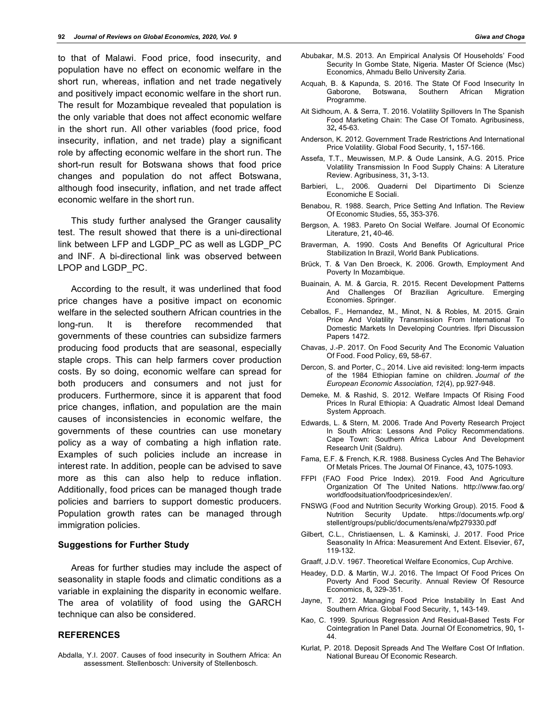to that of Malawi. Food price, food insecurity, and population have no effect on economic welfare in the short run, whereas, inflation and net trade negatively and positively impact economic welfare in the short run. The result for Mozambique revealed that population is the only variable that does not affect economic welfare in the short run. All other variables (food price, food insecurity, inflation, and net trade) play a significant role by affecting economic welfare in the short run. The short-run result for Botswana shows that food price changes and population do not affect Botswana, although food insecurity, inflation, and net trade affect economic welfare in the short run.

This study further analysed the Granger causality test. The result showed that there is a uni-directional link between LFP and LGDP\_PC as well as LGDP\_PC and INF. A bi-directional link was observed between LPOP and LGDP\_PC.

According to the result, it was underlined that food price changes have a positive impact on economic welfare in the selected southern African countries in the long-run. It is therefore recommended that governments of these countries can subsidize farmers producing food products that are seasonal, especially staple crops. This can help farmers cover production costs. By so doing, economic welfare can spread for both producers and consumers and not just for producers. Furthermore, since it is apparent that food price changes, inflation, and population are the main causes of inconsistencies in economic welfare, the governments of these countries can use monetary policy as a way of combating a high inflation rate. Examples of such policies include an increase in interest rate. In addition, people can be advised to save more as this can also help to reduce inflation. Additionally, food prices can be managed though trade policies and barriers to support domestic producers. Population growth rates can be managed through immigration policies.

#### **Suggestions for Further Study**

Areas for further studies may include the aspect of seasonality in staple foods and climatic conditions as a variable in explaining the disparity in economic welfare. The area of volatility of food using the GARCH technique can also be considered.

## **REFERENCES**

Abdalla, Y.I. 2007. Causes of food insecurity in Southern Africa: An assessment. Stellenbosch: University of Stellenbosch.

- Abubakar, M.S. 2013. An Empirical Analysis Of Households' Food Security In Gombe State, Nigeria. Master Of Science (Msc) Economics, Ahmadu Bello University Zaria.
- Acquah, B. & Kapunda, S. 2016. The State Of Food Insecurity In Gaborone, Botswana, Southern African Migration Programme.
- Ait Sidhoum, A. & Serra, T. 2016. Volatility Spillovers In The Spanish Food Marketing Chain: The Case Of Tomato. Agribusiness, 32**,** 45-63.
- Anderson, K. 2012. Government Trade Restrictions And International Price Volatility. Global Food Security, 1**,** 157-166.
- Assefa, T.T., Meuwissen, M.P. & Oude Lansink, A.G. 2015. Price Volatility Transmission In Food Supply Chains: A Literature Review. Agribusiness, 31**,** 3-13.
- Barbieri, L., 2006. Quaderni Del Dipartimento Di Scienze Economiche E Sociali.
- Benabou, R. 1988. Search, Price Setting And Inflation. The Review Of Economic Studies, 55**,** 353-376.
- Bergson, A. 1983. Pareto On Social Welfare. Journal Of Economic Literature, 21**,** 40-46.
- Braverman, A. 1990. Costs And Benefits Of Agricultural Price Stabilization In Brazil, World Bank Publications.
- Brück, T. & Van Den Broeck, K. 2006. Growth, Employment And Poverty In Mozambique.
- Buainain, A. M. & Garcia, R. 2015. Recent Development Patterns And Challenges Of Brazilian Agriculture. Emerging Economies. Springer.
- Ceballos, F., Hernandez, M., Minot, N. & Robles, M. 2015. Grain Price And Volatility Transmission From International To Domestic Markets In Developing Countries. Ifpri Discussion Papers 1472.
- Chavas, J.-P. 2017. On Food Security And The Economic Valuation Of Food. Food Policy, 69**,** 58-67.
- Dercon, S. and Porter, C., 2014. Live aid revisited: long-term impacts of the 1984 Ethiopian famine on children. *Journal of the European Economic Association*, *12*(4), pp.927-948.
- Demeke, M. & Rashid, S. 2012. Welfare Impacts Of Rising Food Prices In Rural Ethiopia: A Quadratic Almost Ideal Demand System Approach.
- Edwards, L. & Stern, M. 2006. Trade And Poverty Research Project In South Africa: Lessons And Policy Recommendations. Cape Town: Southern Africa Labour And Development Research Unit (Saldru).
- Fama, E.F. & French, K.R. 1988. Business Cycles And The Behavior Of Metals Prices. The Journal Of Finance, 43**,** 1075-1093.
- FFPI (FAO Food Price Index). 2019. Food And Agriculture Organization Of The United Nations. http://www.fao.org/ worldfoodsituation/foodpricesindex/en/.
- FNSWG (Food and Nutrition Security Working Group). 2015. Food & Nutrition Security Update. https://documents.wfp.org/ stellent/groups/public/documents/ena/wfp279330.pdf
- Gilbert, C.L., Christiaensen, L. & Kaminski, J. 2017. Food Price Seasonality In Africa: Measurement And Extent. Elsevier, 67**,** 119-132.
- Graaff, J.D.V. 1967. Theoretical Welfare Economics, Cup Archive.
- Headey, D.D. & Martin, W.J. 2016. The Impact Of Food Prices On Poverty And Food Security. Annual Review Of Resource Economics, 8**,** 329-351.
- Jayne, T. 2012. Managing Food Price Instability In East And Southern Africa. Global Food Security, 1**,** 143-149.
- Kao, C. 1999. Spurious Regression And Residual-Based Tests For Cointegration In Panel Data. Journal Of Econometrics, 90**,** 1- 44.
- Kurlat, P. 2018. Deposit Spreads And The Welfare Cost Of Inflation. National Bureau Of Economic Research.